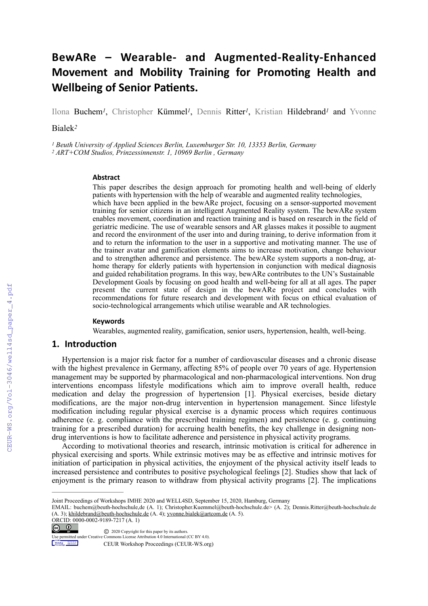# **BewARe – Wearable- and Augmented-Reality-Enhanced Movement and Mobility Training for Promoting Health and Wellbeing of Senior Patients.**

Ilona Buchem*1*, Christopher Kümmel*1*, Dennis Ritter*1*, Kristian Hildebrand*1* and Yvonne

Bialek*<sup>2</sup>*

*1 Beuth University of Applied Sciences Berlin, Luxemburger Str. 10, 13353 Berlin, Germany 2 ART+COM Studios, Prinzessinnenstr. 1, 10969 Berlin , Germany* 

#### **Abstract**

This paper describes the design approach for promoting health and well-being of elderly patients with hypertension with the help of wearable and augmented reality technologies, which have been applied in the bewARe project, focusing on a sensor-supported movement training for senior citizens in an intelligent Augmented Reality system. The bewARe system enables movement, coordination and reaction training and is based on research in the field of geriatric medicine. The use of wearable sensors and AR glasses makes it possible to augment and record the environment of the user into and during training, to derive information from it and to return the information to the user in a supportive and motivating manner. The use of the trainer avatar and gamification elements aims to increase motivation, change behaviour and to strengthen adherence and persistence. The bewARe system supports a non-drug, athome therapy for elderly patients with hypertension in conjunction with medical diagnosis and guided rehabilitation programs. In this way, bewARe contributes to the UN's Sustainable Development Goals by focusing on good health and well-being for all at all ages. The paper present the current state of design in the bewARe project and concludes with recommendations for future research and development with focus on ethical evaluation of socio-technological arrangements which utilise wearable and AR technologies.

#### **Keywords**

Wearables, augmented reality, gamification, senior users, hypertension, health, well-being.

# **1. Introduction**

Hypertension is a major risk factor for a number of cardiovascular diseases and a chronic disease with the highest prevalence in Germany, affecting 85% of people over 70 years of age. Hypertension management may be supported by pharmacological and non-pharmacological interventions. Non drug interventions encompass lifestyle modifications which aim to improve overall health, reduce medication and delay the progression of hypertension [1]. Physical exercises, beside dietary modifications, are the major non-drug intervention in hypertension management. Since lifestyle modification including regular physical exercise is a dynamic process which requires continuous adherence (e. g. compliance with the prescribed training regimen) and persistence (e. g. continuing training for a prescribed duration) for accruing health benefits, the key challenge in designing nondrug interventions is how to facilitate adherence and persistence in physical activity programs.

According to motivational theories and research, intrinsic motivation is critical for adherence in physical exercising and sports. While extrinsic motives may be as effective and intrinsic motives for initiation of participation in physical activities, the enjoyment of the physical activity itself leads to increased persistence and contributes to positive psychological feelings [2]. Studies show that lack of enjoyment is the primary reason to withdraw from physical activity programs [2]. The implications

 $\bigcirc$   $\bigcirc$ 

CEUR Monteston

CEUR Workshop Proceedings (CEUR-WS.org)

Joint Proceedings of Workshops IMHE 2020 and WELL4SD, September 15, 2020, Hamburg, Germany

EMAIL: buchem@beuth-hochschule,de (A. 1); Christopher.Kuemmel@beuth-hochschule.de> (A. 2); Dennis.Ritter@beuth-hochschule.de (A. 3); [khildebrand@beuth-hochschule.de](mailto:khildebrand@beuth-hochschule.de) (A. 4); [yvonne.bialek@artcom.de](mailto:yvonne.bialek@artcom.de) (A. 5). ORCID: 0000-0002-9189-7217 (A. 1)

<sup>©</sup> 2020 Copyright for this paper by its authors. Use permitted under Creative Commons License Attribution 4.0 International (CC BY 4.0).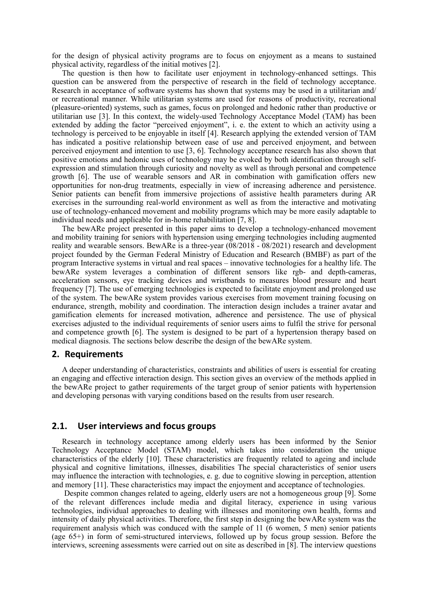for the design of physical activity programs are to focus on enjoyment as a means to sustained physical activity, regardless of the initial motives [2].

The question is then how to facilitate user enjoyment in technology-enhanced settings. This question can be answered from the perspective of research in the field of technology acceptance. Research in acceptance of software systems has shown that systems may be used in a utilitarian and/ or recreational manner. While utilitarian systems are used for reasons of productivity, recreational (pleasure-oriented) systems, such as games, focus on prolonged and hedonic rather than productive or utilitarian use [3]. In this context, the widely-used Technology Acceptance Model (TAM) has been extended by adding the factor "perceived enjoyment", i. e. the extent to which an activity using a technology is perceived to be enjoyable in itself [4]. Research applying the extended version of TAM has indicated a positive relationship between ease of use and perceived enjoyment, and between perceived enjoyment and intention to use [3, 6]. Technology acceptance research has also shown that positive emotions and hedonic uses of technology may be evoked by both identification through selfexpression and stimulation through curiosity and novelty as well as through personal and competence growth [6]. The use of wearable sensors and AR in combination with gamification offers new opportunities for non-drug treatments, especially in view of increasing adherence and persistence. Senior patients can benefit from immersive projections of assistive health parameters during AR exercises in the surrounding real-world environment as well as from the interactive and motivating use of technology-enhanced movement and mobility programs which may be more easily adaptable to individual needs and applicable for in-home rehabilitation [7, 8].

The bewARe project presented in this paper aims to develop a technology-enhanced movement and mobility training for seniors with hypertension using emerging technologies including augmented reality and wearable sensors. BewARe is a three-year (08/2018 - 08/2021) research and development project founded by the German Federal Ministry of Education and Research (BMBF) as part of the program Interactive systems in virtual and real spaces – innovative technologies for a healthy life. The bewARe system leverages a combination of different sensors like rgb- and depth-cameras, acceleration sensors, eye tracking devices and wristbands to measures blood pressure and heart frequency [7]. The use of emerging technologies is expected to facilitate enjoyment and prolonged use of the system. The bewARe system provides various exercises from movement training focusing on endurance, strength, mobility and coordination. The interaction design includes a trainer avatar and gamification elements for increased motivation, adherence and persistence. The use of physical exercises adjusted to the individual requirements of senior users aims to fulfil the strive for personal and competence growth [6]. The system is designed to be part of a hypertension therapy based on medical diagnosis. The sections below describe the design of the bewARe system.

#### **2. Requirements**

A deeper understanding of characteristics, constraints and abilities of users is essential for creating an engaging and effective interaction design. This section gives an overview of the methods applied in the bewARe project to gather requirements of the target group of senior patients with hypertension and developing personas with varying conditions based on the results from user research.

## **2.1. User interviews and focus groups**

Research in technology acceptance among elderly users has been informed by the Senior Technology Acceptance Model (STAM) model, which takes into consideration the unique characteristics of the elderly [10]. These characteristics are frequently related to ageing and include physical and cognitive limitations, illnesses, disabilities The special characteristics of senior users may influence the interaction with technologies, e. g. due to cognitive slowing in perception, attention and memory [11]. These characteristics may impact the enjoyment and acceptance of technologies.

 Despite common changes related to ageing, elderly users are not a homogeneous group [9]. Some of the relevant differences include media and digital literacy, experience in using various technologies, individual approaches to dealing with illnesses and monitoring own health, forms and intensity of daily physical activities. Therefore, the first step in designing the bewARe system was the requirement analysis which was conduced with the sample of 11 (6 women, 5 men) senior patients (age 65+) in form of semi-structured interviews, followed up by focus group session. Before the interviews, screening assessments were carried out on site as described in [8]. The interview questions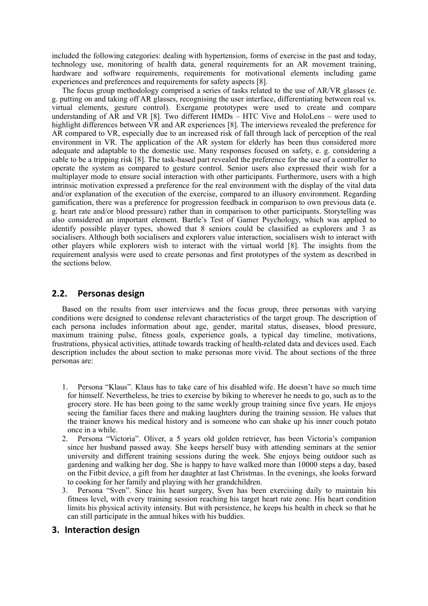included the following categories: dealing with hypertension, forms of exercise in the past and today, technology use, monitoring of health data, general requirements for an AR movement training, hardware and software requirements, requirements for motivational elements including game experiences and preferences and requirements for safety aspects [8].

The focus group methodology comprised a series of tasks related to the use of AR/VR glasses (e. g. putting on and taking off AR glasses, recognising the user interface, differentiating between real vs. virtual elements, gesture control). Exergame prototypes were used to create and compare understanding of AR and VR [8]. Two different  $\hat{H}MDs - HTC$  Vive and HoloLens – were used to highlight differences between VR and AR experiences [8]. The interviews revealed the preference for AR compared to VR, especially due to an increased risk of fall through lack of perception of the real environment in VR. The application of the AR system for elderly has been thus considered more adequate and adaptable to the domestic use. Many responses focused on safety, e. g. considering a cable to be a tripping risk [8]. The task-based part revealed the preference for the use of a controller to operate the system as compared to gesture control. Senior users also expressed their wish for a multiplayer mode to ensure social interaction with other participants. Furthermore, users with a high intrinsic motivation expressed a preference for the real environment with the display of the vital data and/or explanation of the execution of the exercise, compared to an illusory environment. Regarding gamification, there was a preference for progression feedback in comparison to own previous data (e. g. heart rate and/or blood pressure) rather than in comparison to other participants. Storytelling was also considered an important element. Bartle's Test of Gamer Psychology, which was applied to identify possible player types, showed that 8 seniors could be classified as explorers and 3 as socialisers. Although both socialisers and explorers value interaction, socialisers wish to interact with other players while explorers wish to interact with the virtual world [8]. The insights from the requirement analysis were used to create personas and first prototypes of the system as described in the sections below.

## **2.2. Personas design**

Based on the results from user interviews and the focus group, three personas with varying conditions were designed to condense relevant characteristics of the target group. The description of each persona includes information about age, gender, marital status, diseases, blood pressure, maximum training pulse, fitness goals, experience goals, a typical day timeline, motivations, frustrations, physical activities, attitude towards tracking of health-related data and devices used. Each description includes the about section to make personas more vivid. The about sections of the three personas are:

- 1. Persona "Klaus". Klaus has to take care of his disabled wife. He doesn't have so much time for himself. Nevertheless, he tries to exercise by biking to wherever he needs to go, such as to the grocery store. He has been going to the same weekly group training since five years. He enjoys seeing the familiar faces there and making laughters during the training session. He values that the trainer knows his medical history and is someone who can shake up his inner couch potato once in a while.
- 2. Persona "Victoria". Oliver, a 5 years old golden retriever, has been Victoria's companion since her husband passed away. She keeps herself busy with attending seminars at the senior university and different training sessions during the week. She enjoys being outdoor such as gardening and walking her dog. She is happy to have walked more than 10000 steps a day, based on the Fitbit device, a gift from her daughter at last Christmas. In the evenings, she looks forward to cooking for her family and playing with her grandchildren.
- 3. Persona "Sven". Since his heart surgery, Sven has been exercising daily to maintain his fitness level, with every training session reaching his target heart rate zone. His heart condition limits his physical activity intensity. But with persistence, he keeps his health in check so that he can still participate in the annual hikes with his buddies.

#### **3. Interaction design**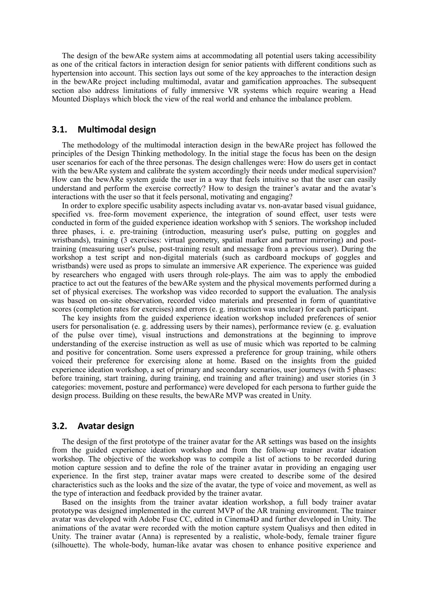The design of the bewARe system aims at accommodating all potential users taking accessibility as one of the critical factors in interaction design for senior patients with different conditions such as hypertension into account. This section lays out some of the key approaches to the interaction design in the bewARe project including multimodal, avatar and gamification approaches. The subsequent section also address limitations of fully immersive VR systems which require wearing a Head Mounted Displays which block the view of the real world and enhance the imbalance problem.

## **3.1. Multimodal design**

The methodology of the multimodal interaction design in the bewARe project has followed the principles of the Design Thinking methodology. In the initial stage the focus has been on the design user scenarios for each of the three personas. The design challenges were: How do users get in contact with the bewARe system and calibrate the system accordingly their needs under medical supervision? How can the bewARe system guide the user in a way that feels intuitive so that the user can easily understand and perform the exercise correctly? How to design the trainer's avatar and the avatar's interactions with the user so that it feels personal, motivating and engaging?

In order to explore specific usability aspects including avatar vs. non-avatar based visual guidance, specified vs. free-form movement experience, the integration of sound effect, user tests were conducted in form of the guided experience ideation workshop with 5 seniors. The workshop included three phases, i. e. pre-training (introduction, measuring user's pulse, putting on goggles and wristbands), training (3 exercises: virtual geometry, spatial marker and partner mirroring) and posttraining (measuring user's pulse, post-training result and message from a previous user). During the workshop a test script and non-digital materials (such as cardboard mockups of goggles and wristbands) were used as props to simulate an immersive AR experience. The experience was guided by researchers who engaged with users through role-plays. The aim was to apply the embodied practice to act out the features of the bewARe system and the physical movements performed during a set of physical exercises. The workshop was video recorded to support the evaluation. The analysis was based on on-site observation, recorded video materials and presented in form of quantitative scores (completion rates for exercises) and errors (e. g. instruction was unclear) for each participant.

The key insights from the guided experience ideation workshop included preferences of senior users for personalisation (e. g. addressing users by their names), performance review (e. g. evaluation of the pulse over time), visual instructions and demonstrations at the beginning to improve understanding of the exercise instruction as well as use of music which was reported to be calming and positive for concentration. Some users expressed a preference for group training, while others voiced their preference for exercising alone at home. Based on the insights from the guided experience ideation workshop, a set of primary and secondary scenarios, user journeys (with 5 phases: before training, start training, during training, end training and after training) and user stories (in 3 categories: movement, posture and performance) were developed for each persona to further guide the design process. Building on these results, the bewARe MVP was created in Unity.

#### **3.2. Avatar design**

The design of the first prototype of the trainer avatar for the AR settings was based on the insights from the guided experience ideation workshop and from the follow-up trainer avatar ideation workshop. The objective of the workshop was to compile a list of actions to be recorded during motion capture session and to define the role of the trainer avatar in providing an engaging user experience. In the first step, trainer avatar maps were created to describe some of the desired characteristics such as the looks and the size of the avatar, the type of voice and movement, as well as the type of interaction and feedback provided by the trainer avatar.

Based on the insights from the trainer avatar ideation workshop, a full body trainer avatar prototype was designed implemented in the current MVP of the AR training environment. The trainer avatar was developed with Adobe Fuse CC, edited in Cinema4D and further developed in Unity. The animations of the avatar were recorded with the motion capture system Qualisys and then edited in Unity. The trainer avatar (Anna) is represented by a realistic, whole-body, female trainer figure (silhouette). The whole-body, human-like avatar was chosen to enhance positive experience and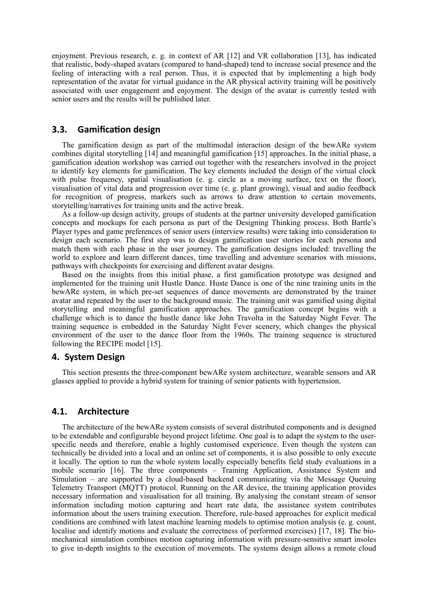enjoyment. Previous research, e. g. in context of AR [12] and VR collaboration [13], has indicated that realistic, body-shaped avatars (compared to hand-shaped) tend to increase social presence and the feeling of interacting with a real person. Thus, it is expected that by implementing a high body representation of the avatar for virtual guidance in the AR physical activity training will be positively associated with user engagement and enjoyment. The design of the avatar is currently tested with senior users and the results will be published later.

## **3.3. Gamification design**

The gamification design as part of the multimodal interaction design of the bewARe system combines digital storytelling [14] and meaningful gamification [15] approaches. In the initial phase, a gamification ideation workshop was carried out together with the researchers involved in the project to identify key elements for gamification. The key elements included the design of the virtual clock with pulse frequency, spatial visualisation (e. g. circle as a moving surface, text on the floor), visualisation of vital data and progression over time (e. g. plant growing), visual and audio feedback for recognition of progress, markers such as arrows to draw attention to certain movements, storytelling/narratives for training units and the active break.

As a follow-up design activity, groups of students at the partner university developed gamification concepts and mockups for each persona as part of the Designing Thinking process. Both Bartle's Player types and game preferences of senior users (interview results) were taking into consideration to design each scenario. The first step was to design gamification user stories for each persona and match them with each phase in the user journey. The gamification designs included: travelling the world to explore and learn different dances, time travelling and adventure scenarios with missions, pathways with checkpoints for exercising and different avatar designs.

Based on the insights from this initial phase, a first gamification prototype was designed and implemented for the training unit Hustle Dance. Huste Dance is one of the nine training units in the bewARe system, in which pre-set sequences of dance movements are demonstrated by the trainer avatar and repeated by the user to the background music. The training unit was gamified using digital storytelling and meaningful gamification approaches. The gamification concept begins with a challenge which is to dance the hustle dance like John Travolta in the Saturday Night Fever. The training sequence is embedded in the Saturday Night Fever scenery, which changes the physical environment of the user to the dance floor from the 1960s. The training sequence is structured following the RECIPE model [15].

#### **4. System Design**

This section presents the three-component bewARe system architecture, wearable sensors and AR glasses applied to provide a hybrid system for training of senior patients with hypertension.

## **4.1. Architecture**

The architecture of the bewARe system consists of several distributed components and is designed to be extendable and configurable beyond project lifetime. One goal is to adapt the system to the userspecific needs and therefore, enable a highly customised experience. Even though the system can technically be divided into a local and an online set of components, it is also possible to only execute it locally. The option to run the whole system locally especially benefits field study evaluations in a mobile scenario [16]. The three components – Training Application, Assistance System and Simulation – are supported by a cloud-based backend communicating via the Message Queuing Telemetry Transport (MQTT) protocol. Running on the AR device, the training application provides necessary information and visualisation for all training. By analysing the constant stream of sensor information including motion capturing and heart rate data, the assistance system contributes information about the users training execution. Therefore, rule-based approaches for explicit medical conditions are combined with latest machine learning models to optimise motion analysis (e. g. count, localise and identify motions and evaluate the correctness of performed exercises) [17, 18]. The biomechanical simulation combines motion capturing information with pressure-sensitive smart insoles to give in-depth insights to the execution of movements. The systems design allows a remote cloud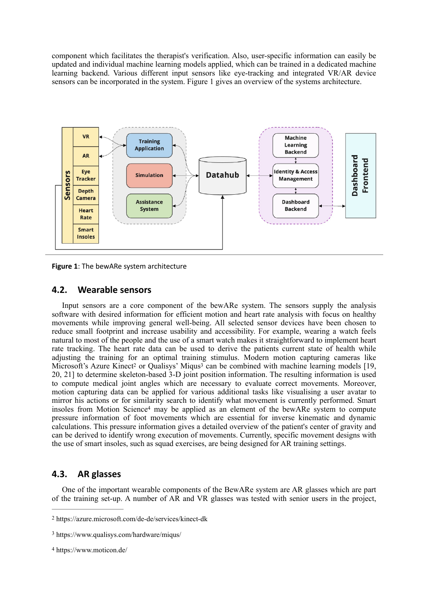component which facilitates the therapist's verification. Also, user-specific information can easily be updated and individual machine learning models applied, which can be trained in a dedicated machine learning backend. Various different input sensors like eye-tracking and integrated VR/AR device sensors can be incorporated in the system. Figure 1 gives an overview of the systems architecture.





# **4.2. Wearable sensors**

<span id="page-5-4"></span><span id="page-5-3"></span>Input sensors are a core component of the bewARe system. The sensors supply the analysis software with desired information for efficient motion and heart rate analysis with focus on healthy movements while improving general well-being. All selected sensor devices have been chosen to reduce small footprint and increase usability and accessibility. For example, wearing a watch feels natural to most of the people and the use of a smart watch makes it straightforward to implement heart rate tracking. The heart rate data can be used to derive the patients current state of health while adjusting the training for an optimal training stimulus. Modern motion capturing cameras like Microsoft'sAzure Kinect<sup>[2](#page-5-0)</sup> or Qualisys' Miqus<sup>3</sup> can be combined with machine learning models [19, 20, 21] to determine skeleton-based 3-D joint position information. The resulting information is used to compute medical joint angles which are necessary to evaluate correct movements. Moreover, motion capturing data can be applied for various additional tasks like visualising a user avatar to mirror his actions or for similarity search to identify what movement is currently performed. Smart insol[e](#page-5-2)s from Motion Science<sup>[4](#page-5-2)</sup> may be applied as an element of the bewARe system to compute pressure information of foot movements which are essential for inverse kinematic and dynamic calculations. This pressure information gives a detailed overview of the patient's center of gravity and can be derived to identify wrong execution of movements. Currently, specific movement designs with the use of smart insoles, such as squad exercises, are being designed for AR training settings.

# <span id="page-5-5"></span>**4.3. AR glasses**

One of the important wearable components of the BewARe system are AR glasses which are part of the training set-up. A number of AR and VR glasses was tested with senior users in the project,

<span id="page-5-0"></span>[<sup>2</sup>](#page-5-3) https://azure.microsoft.com/de-de/services/kinect-dk

<span id="page-5-1"></span>https://www.qualisys.com/hardware/miqus/ [3](#page-5-4)

<span id="page-5-2"></span>https://www.moticon.de/ [4](#page-5-5)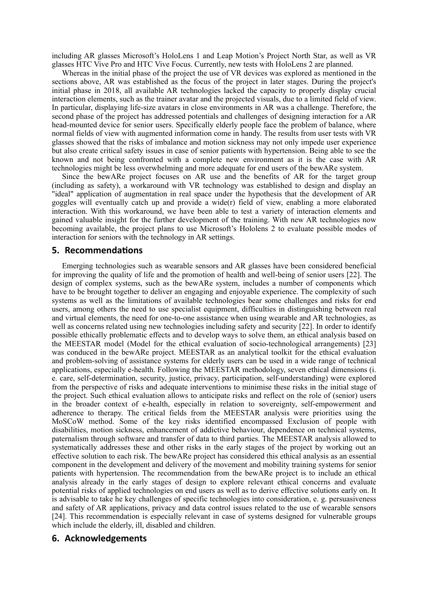including AR glasses Microsoft's HoloLens 1 and Leap Motion's Project North Star, as well as VR glasses HTC Vive Pro and HTC Vive Focus. Currently, new tests with HoloLens 2 are planned.

Whereas in the initial phase of the project the use of VR devices was explored as mentioned in the sections above, AR was established as the focus of the project in later stages. During the project's initial phase in 2018, all available AR technologies lacked the capacity to properly display crucial interaction elements, such as the trainer avatar and the projected visuals, due to a limited field of view. In particular, displaying life-size avatars in close environments in AR was a challenge. Therefore, the second phase of the project has addressed potentials and challenges of designing interaction for a AR head-mounted device for senior users. Specifically elderly people face the problem of balance, where normal fields of view with augmented information come in handy. The results from user tests with VR glasses showed that the risks of imbalance and motion sickness may not only impede user experience but also create critical safety issues in case of senior patients with hypertension. Being able to see the known and not being confronted with a complete new environment as it is the case with AR technologies might be less overwhelming and more adequate for end users of the bewARe system.

Since the bewARe project focuses on AR use and the benefits of AR for the target group (including as safety), a workaround with VR technology was established to design and display an "ideal" application of augmentation in real space under the hypothesis that the development of AR goggles will eventually catch up and provide a wide(r) field of view, enabling a more elaborated interaction. With this workaround, we have been able to test a variety of interaction elements and gained valuable insight for the further development of the training. With new AR technologies now becoming available, the project plans to use Microsoft's Hololens 2 to evaluate possible modes of interaction for seniors with the technology in AR settings.

#### **5. Recommendations**

Emerging technologies such as wearable sensors and AR glasses have been considered beneficial for improving the quality of life and the promotion of health and well-being of senior users [22]. The design of complex systems, such as the bewARe system, includes a number of components which have to be brought together to deliver an engaging and enjoyable experience. The complexity of such systems as well as the limitations of available technologies bear some challenges and risks for end users, among others the need to use specialist equipment, difficulties in distinguishing between real and virtual elements, the need for one-to-one assistance when using wearable and AR technologies, as well as concerns related using new technologies including safety and security [22]. In order to identify possible ethically problematic effects and to develop ways to solve them, an ethical analysis based on the MEESTAR model (Model for the ethical evaluation of socio-technological arrangements) [23] was conduced in the bewARe project. MEESTAR as an analytical toolkit for the ethical evaluation and problem-solving of assistance systems for elderly users can be used in a wide range of technical applications, especially e-health. Following the MEESTAR methodology, seven ethical dimensions (i. e. care, self-determination, security, justice, privacy, participation, self-understanding) were explored from the perspective of risks and adequate interventions to minimise these risks in the initial stage of the project. Such ethical evaluation allows to anticipate risks and reflect on the role of (senior) users in the broader context of e-health, especially in relation to sovereignty, self-empowerment and adherence to therapy. The critical fields from the MEESTAR analysis were priorities using the MoSCoW method. Some of the key risks identified encompassed Exclusion of people with disabilities, motion sickness, enhancement of addictive behaviour, dependence on technical systems, paternalism through software and transfer of data to third parties. The MEESTAR analysis allowed to systematically addresses these and other risks in the early stages of the project by working out an effective solution to each risk. The bewARe project has considered this ethical analysis as an essential component in the development and delivery of the movement and mobility training systems for senior patients with hypertension. The recommendation from the bewARe project is to include an ethical analysis already in the early stages of design to explore relevant ethical concerns and evaluate potential risks of applied technologies on end users as well as to derive effective solutions early on. It is advisable to take he key challenges of specific technologies into consideration, e. g. persuasiveness and safety of AR applications, privacy and data control issues related to the use of wearable sensors [24]. This recommendation is especially relevant in case of systems designed for vulnerable groups which include the elderly, ill, disabled and children.

## **6. Acknowledgements**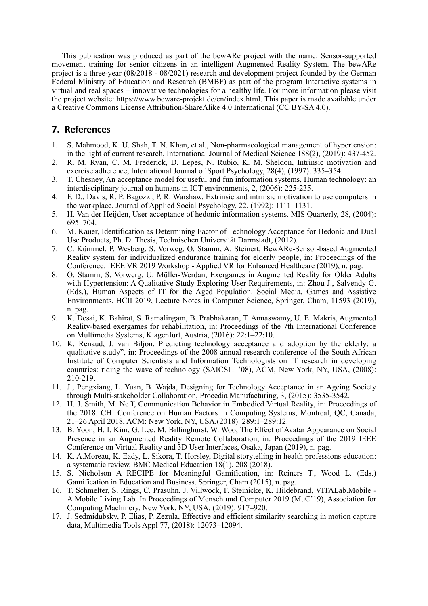This publication was produced as part of the bewARe project with the name: Sensor-supported movement training for senior citizens in an intelligent Augmented Reality System. The bewARe project is a three-year (08/2018 - 08/2021) research and development project founded by the German Federal Ministry of Education and Research (BMBF) as part of the program Interactive systems in virtual and real spaces – innovative technologies for a healthy life. For more information please visit the project website: https://www.beware-projekt.de/en/index.html. This paper is made available under a Creative Commons License Attribution-ShareAlike 4.0 International (CC BY-SA 4.0).

# **7. References**

- 1. S. Mahmood, K. U. Shah, T. N. Khan, et al., Non-pharmacological management of hypertension: in the light of current research, International Journal of Medical Science 188(2), (2019): 437-452.
- 2. R. M. Ryan, C. M. Frederick, D. Lepes, N. Rubio, K. M. Sheldon, Intrinsic motivation and exercise adherence, International Journal of Sport Psychology, 28(4), (1997): 335–354.
- 3. T. Chesney, An acceptance model for useful and fun information systems, Human technology: an interdisciplinary journal on humans in ICT environments, 2, (2006): 225-235.
- 4. F. D., Davis, R. P. Bagozzi, P. R. Warshaw, Extrinsic and intrinsic motivation to use computers in the workplace, Journal of Applied Social Psychology, 22, (1992): 1111–1131.
- 5. H. Van der Heijden, User acceptance of hedonic information systems. MIS Quarterly, 28, (2004): 695–704.
- 6. M. Kauer, Identification as Determining Factor of Technology Acceptance for Hedonic and Dual Use Products, Ph. D. Thesis, Technischen Universität Darmstadt, (2012).
- 7. C. Kümmel, P. Wesberg, S. Vorweg, O. Stamm, A. Steinert, BewARe-Sensor-based Augmented Reality system for individualized endurance training for elderly people, in: Proceedings of the Conference: IEEE VR 2019 Workshop - Applied VR for Enhanced Healthcare (2019), n. pag.
- 8. O. Stamm, S. Vorwerg, U. Müller-Werdan, Exergames in Augmented Reality for Older Adults with Hypertension: A Qualitative Study Exploring User Requirements, in: Zhou J., Salvendy G. (Eds.), Human Aspects of IT for the Aged Population. Social Media, Games and Assistive Environments. HCII 2019, Lecture Notes in Computer Science, Springer, Cham, 11593 (2019), n. pag.
- 9. K. Desai, K. Bahirat, S. Ramalingam, B. Prabhakaran, T. Annaswamy, U. E. Makris, Augmented Reality-based exergames for rehabilitation, in: Proceedings of the 7th International Conference on Multimedia Systems, Klagenfurt, Austria, (2016): 22:1–22:10.
- 10. K. Renaud, J. van Biljon, Predicting technology acceptance and adoption by the elderly: a qualitative study", in: Proceedings of the 2008 annual research conference of the South African Institute of Computer Scientists and Information Technologists on IT research in developing countries: riding the wave of technology (SAICSIT '08), ACM, New York, NY, USA, (2008): 210-219.
- 11. J., Pengxiang, L. Yuan, B. Wajda, Designing for Technology Acceptance in an Ageing Society through Multi-stakeholder Collaboration, Procedia Manufacturing, 3, (2015): 3535-3542.
- 12. H. J. Smith, M. Neff, Communication Behavior in Embodied Virtual Reality, in: Proceedings of the 2018. CHI Conference on Human Factors in Computing Systems, Montreal, QC, Canada, 21–26 April 2018, ACM: New York, NY, USA,(2018): 289:1–289:12.
- 13. B. Yoon, H. I. Kim, G. Lee, M. Billinghurst, W. Woo, The Effect of Avatar Appearance on Social Presence in an Augmented Reality Remote Collaboration, in: Proceedings of the 2019 IEEE Conference on Virtual Reality and 3D User Interfaces, Osaka, Japan (2019), n. pag.
- 14. K. A.Moreau, K. Eady, L. Sikora, T. Horsley, Digital storytelling in health professions education: a systematic review, BMC Medical Education 18(1), 208 (2018).
- 15. S. Nicholson A RECIPE for Meaningful Gamification, in: Reiners T., Wood L. (Eds.) Gamification in Education and Business. Springer, Cham (2015), n. pag.
- 16. T. Schmelter, S. Rings, C. Prasuhn, J. Villwock, F. Steinicke, K. Hildebrand, VITALab.Mobile A Mobile Living Lab. In Proceedings of Mensch und Computer 2019 (MuC'19), Association for Computing Machinery, New York, NY, USA, (2019): 917–920.
- 17. J. Sedmidubsky, P. Elias, P. Zezula, Effective and efficient similarity searching in motion capture data, Multimedia Tools Appl 77, (2018): 12073–12094.